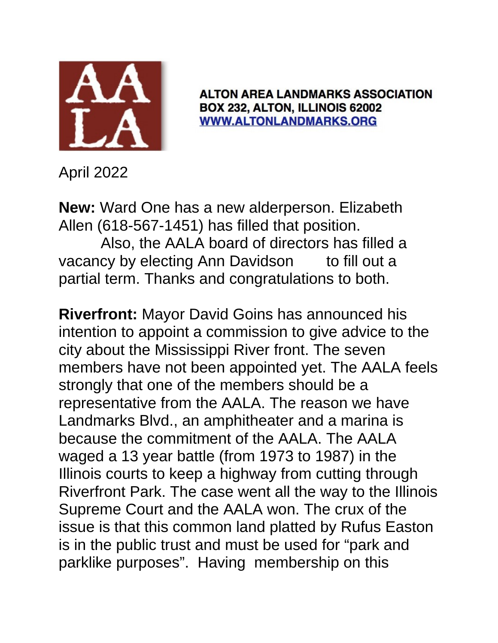

**ALTON AREA LANDMARKS ASSOCIATION** BOX 232, ALTON, ILLINOIS 62002 **WWW.ALTONLANDMARKS.ORG** 

April 2022

**New:** Ward One has a new alderperson. Elizabeth Allen (618-567-1451) has filled that position. Also, the AALA board of directors has filled a vacancy by electing Ann Davidson to fill out a partial term. Thanks and congratulations to both.

**Riverfront:** Mayor David Goins has announced his intention to appoint a commission to give advice to the city about the Mississippi River front. The seven members have not been appointed yet. The AALA feels strongly that one of the members should be a representative from the AALA. The reason we have Landmarks Blvd., an amphitheater and a marina is because the commitment of the AALA. The AALA waged a 13 year battle (from 1973 to 1987) in the Illinois courts to keep a highway from cutting through Riverfront Park. The case went all the way to the Illinois Supreme Court and the AALA won. The crux of the issue is that this common land platted by Rufus Easton is in the public trust and must be used for "park and parklike purposes". Having membership on this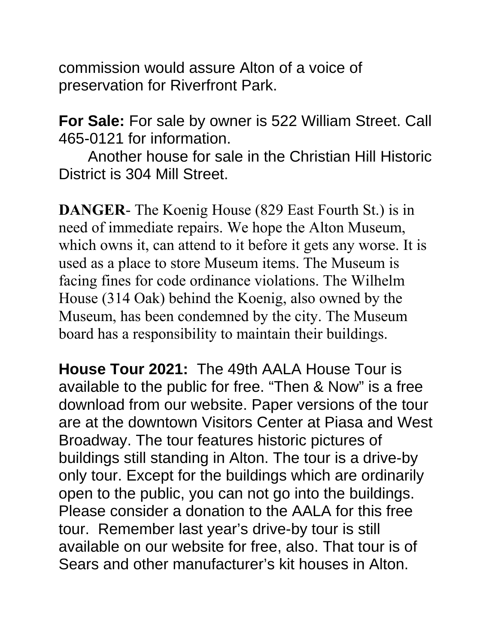commission would assure Alton of a voice of preservation for Riverfront Park.

**For Sale:** For sale by owner is 522 William Street. Call 465-0121 for information.

Another house for sale in the Christian Hill Historic District is 304 Mill Street.

**DANGER**- The Koenig House (829 East Fourth St.) is in need of immediate repairs. We hope the Alton Museum, which owns it, can attend to it before it gets any worse. It is used as a place to store Museum items. The Museum is facing fines for code ordinance violations. The Wilhelm House (314 Oak) behind the Koenig, also owned by the Museum, has been condemned by the city. The Museum board has a responsibility to maintain their buildings.

**House Tour 2021:** The 49th AALA House Tour is available to the public for free. "Then & Now" is a free download from our website. Paper versions of the tour are at the downtown Visitors Center at Piasa and West Broadway. The tour features historic pictures of buildings still standing in Alton. The tour is a drive-by only tour. Except for the buildings which are ordinarily open to the public, you can not go into the buildings. Please consider a donation to the AALA for this free tour. Remember last year's drive-by tour is still available on our website for free, also. That tour is of Sears and other manufacturer's kit houses in Alton.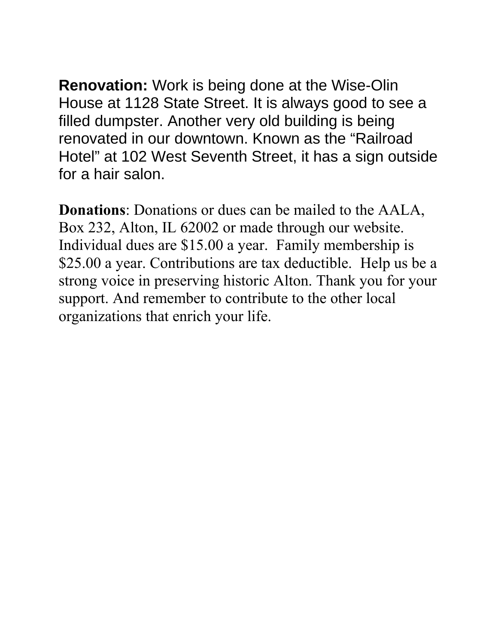**Renovation:** Work is being done at the Wise-Olin House at 1128 State Street. It is always good to see a filled dumpster. Another very old building is being renovated in our downtown. Known as the "Railroad Hotel" at 102 West Seventh Street, it has a sign outside for a hair salon.

**Donations**: Donations or dues can be mailed to the AALA, Box 232, Alton, IL 62002 or made through our website. Individual dues are \$15.00 a year. Family membership is \$25.00 a year. Contributions are tax deductible. Help us be a strong voice in preserving historic Alton. Thank you for your support. And remember to contribute to the other local organizations that enrich your life.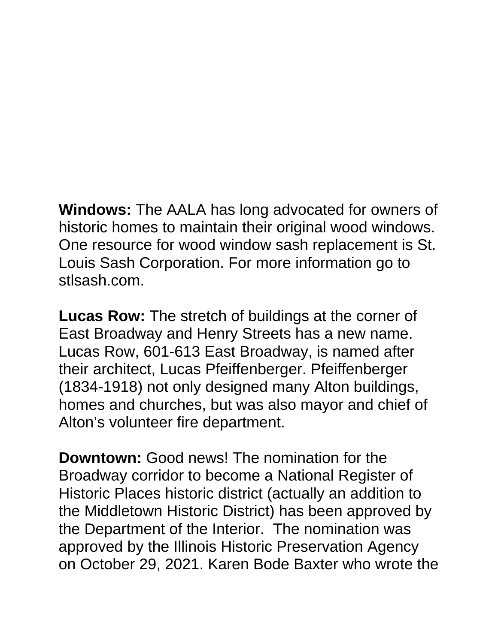**Windows:** The AALA has long advocated for owners of historic homes to maintain their original wood windows. One resource for wood window sash replacement is St. Louis Sash Corporation. For more information go to stlsash.com.

**Lucas Row:** The stretch of buildings at the corner of East Broadway and Henry Streets has a new name. Lucas Row, 601-613 East Broadway, is named after their architect, Lucas Pfeiffenberger. Pfeiffenberger (1834-1918) not only designed many Alton buildings, homes and churches, but was also mayor and chief of Alton's volunteer fire department.

**Downtown:** Good news! The nomination for the Broadway corridor to become a National Register of Historic Places historic district (actually an addition to the Middletown Historic District) has been approved by the Department of the Interior. The nomination was approved by the Illinois Historic Preservation Agency on October 29, 2021. Karen Bode Baxter who wrote the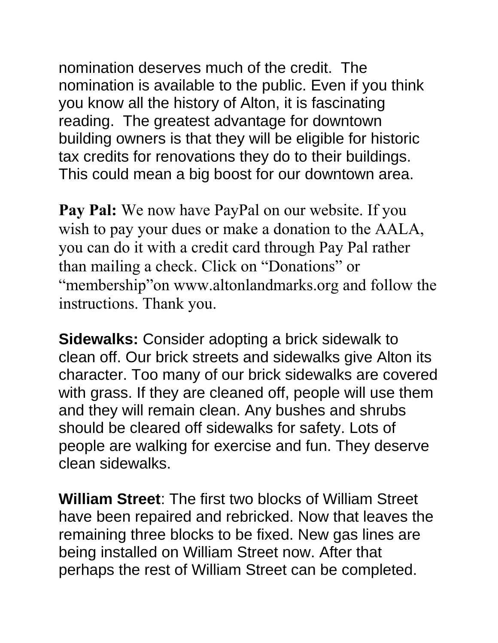nomination deserves much of the credit. The nomination is available to the public. Even if you think you know all the history of Alton, it is fascinating reading. The greatest advantage for downtown building owners is that they will be eligible for historic tax credits for renovations they do to their buildings. This could mean a big boost for our downtown area.

**Pay Pal:** We now have PayPal on our website. If you wish to pay your dues or make a donation to the AALA, you can do it with a credit card through Pay Pal rather than mailing a check. Click on "Donations" or "membership"on www.altonlandmarks.org and follow the instructions. Thank you.

**Sidewalks:** Consider adopting a brick sidewalk to clean off. Our brick streets and sidewalks give Alton its character. Too many of our brick sidewalks are covered with grass. If they are cleaned off, people will use them and they will remain clean. Any bushes and shrubs should be cleared off sidewalks for safety. Lots of people are walking for exercise and fun. They deserve clean sidewalks.

**William Street**: The first two blocks of William Street have been repaired and rebricked. Now that leaves the remaining three blocks to be fixed. New gas lines are being installed on William Street now. After that perhaps the rest of William Street can be completed.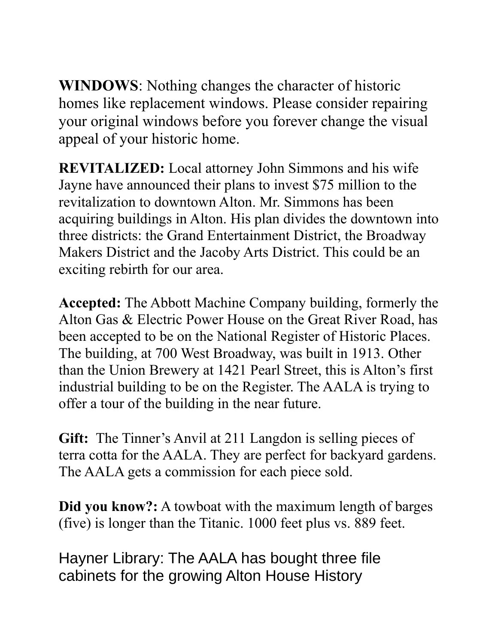**WINDOWS**: Nothing changes the character of historic homes like replacement windows. Please consider repairing your original windows before you forever change the visual appeal of your historic home.

**REVITALIZED:** Local attorney John Simmons and his wife Jayne have announced their plans to invest \$75 million to the revitalization to downtown Alton. Mr. Simmons has been acquiring buildings in Alton. His plan divides the downtown into three districts: the Grand Entertainment District, the Broadway Makers District and the Jacoby Arts District. This could be an exciting rebirth for our area.

**Accepted:** The Abbott Machine Company building, formerly the Alton Gas & Electric Power House on the Great River Road, has been accepted to be on the National Register of Historic Places. The building, at 700 West Broadway, was built in 1913. Other than the Union Brewery at 1421 Pearl Street, this is Alton's first industrial building to be on the Register. The AALA is trying to offer a tour of the building in the near future.

**Gift:** The Tinner's Anvil at 211 Langdon is selling pieces of terra cotta for the AALA. They are perfect for backyard gardens. The AALA gets a commission for each piece sold.

**Did you know?:** A towboat with the maximum length of barges (five) is longer than the Titanic. 1000 feet plus vs. 889 feet.

Hayner Library: The AALA has bought three file cabinets for the growing Alton House History